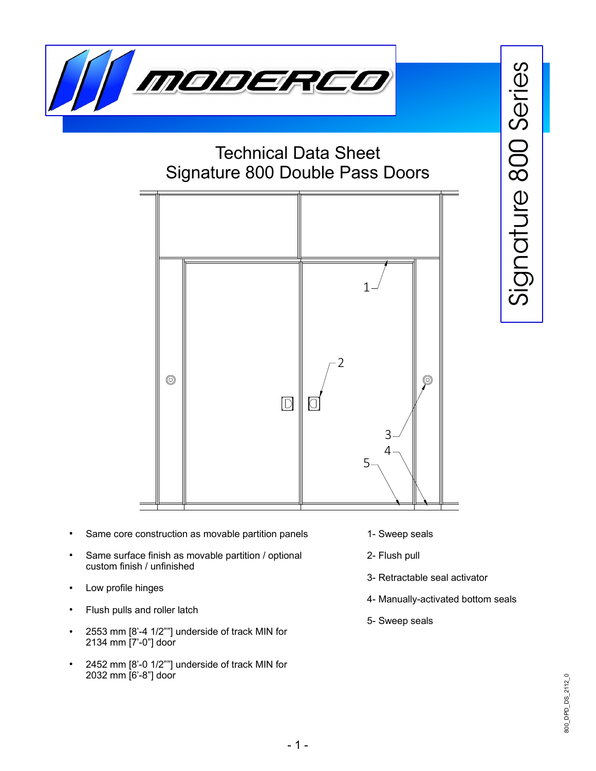

## Technical Data Sheet Signature 800 Double Pass Doors



- Same core construction as movable partition panels
- Same surface finish as movable partition / optional custom finish / unfinished
- Low profile hinges
- Flush pulls and roller latch
- 2553 mm  $[8'-4 \ 1/2"']$  underside of track MIN for 2134 mm [7'-0"] door
- 2452 mm [8'-0 1/2""] underside of track MIN for 2032 mm [6'-8"] door
- 1- Sweep seals
- 2- Flush pull
- 3- Retractable seal activator
- 4- Manually-activated bottom seals
- 5- Sweep seals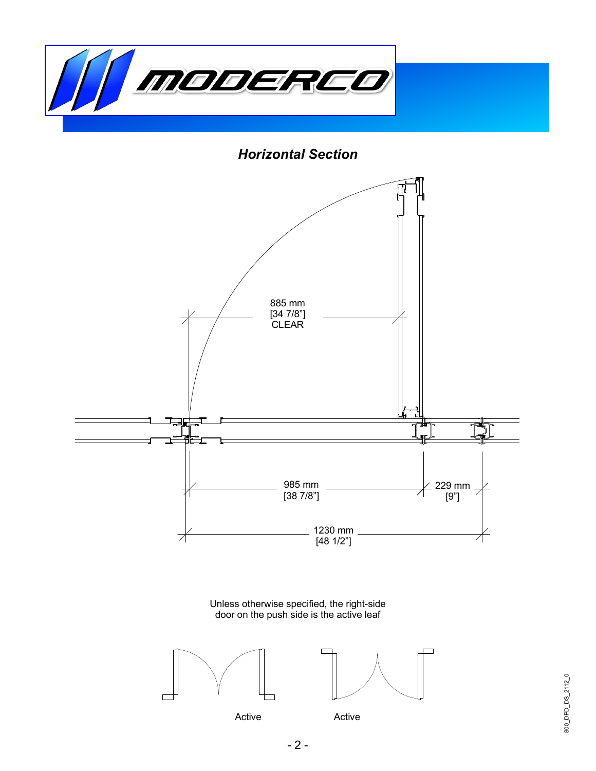

*Horizontal Section*



800\_DPD\_DS\_2112\_0 800\_DPD\_DS\_2112\_0